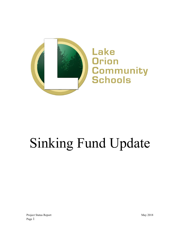

# Sinking Fund Update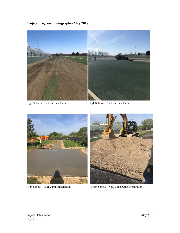# **Project Progress Photographs- May 2018**



High School- Track Surface Demo<br>High School- Track Surface Demo





High School - High Jump Installation High School - New Long Jump Preparation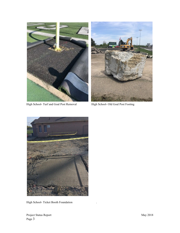



High School- Turf and Goal Post Removal High School- Old Goal Post Footing



High School- Ticket Booth Foundation .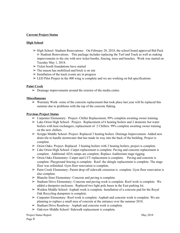## **Current Project Status**

#### **High School**

- $\triangleright$  High School-Stadium Renovations- On February 28, 2018, the school board approved Bid Pack 4- Stadium Renovations. This package includes replacing the Turf and Track as well as making improvements to the site with new ticket booths, fencing, trees and benches. Work was started on Tuesday May 1, 2018.
- $\triangleright$  Ticket booth foundations have started
- $\triangleright$  The mason has mobilized and brick is on site
- $\triangleright$  Installation of the track events are in progress
- $\geq$  LED Pilot Project in the 400 wing is complete and we are working on bid specifications

#### **Paint Creek**

 $\triangleright$  Drainage improvements around the exterior of the media center.

#### **Miscellaneous**

 $\triangleright$  Warranty Work- some of the concrete replacement that took place last year will be replaced this summer due to problems with the top of the concrete flaking.

#### **Previous Project Status**

- ➢ Carpenter Elementary- Project- Chiller Replacement, 99% complete awaiting owner training.
- $\triangleright$  Lake Orion High School- Project- Replacement of 6 heating boilers and 2 domestic hot water boilers with heat exchangers, replacement of 2 Chillers. 99% complete awaiting owner training on the new chillers.
- ➢ Scripps Middle School- Project- Replaced 3 heating boilers. Drainage Improvement- Added new drain tile to handle stormwater that has made its way into the back of the building. Project is complete.
- $\triangleright$  Orion Oaks- Project- Replaced 3 heating boilers with 2 heating boilers, project is complete.
- $\triangleright$  Lake Orion High School- Carpet replacement is complete. Paving and concrete replacement is complete. Additional ADA ramps are complete. Replace Auditorium stage rigging.
- $\triangleright$  Orion Oaks Elementary- Carpet and LVT replacement is complete. Paving and concrete is complete. Playground fencing is complete. Roof- the shingle replacement is complete. The stage floor was refinished. Gym floor renovation is complete.
- ➢ Paint Creek Elementary- Parent drop off sidewalk extension is complete. Gym floor renovation is also complete.
- $\triangleright$  Blanche Sims Elementary- Concrete and paving is complete.
- $\triangleright$  Stadium Drive Elementary- Concrete and paving work is complete. Roof work is complete. We added a dumpster enclosure. Replaced two light pole bases in the East parking lot.
- $\triangleright$  Waldon Middle School- Asphalt work is complete. Installation of a concrete pad for the Royal Oak Recycling dumpsters is complete.
- $\triangleright$  Carpenter Elementary-Roof work is complete. Asphalt and concrete work is complete. We are planning to replace a small area of concrete at the entrance over the summer 2018.
- ➢ Stadium Drive Roadway- Asphalt and concrete work is complete.
- $\geq$  Oakview Middle School-Sidewalk replacement is complete.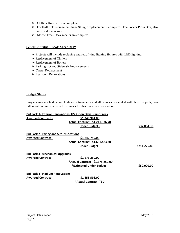- $\triangleright$  CERC Roof work is complete.
- ➢ Football field storage building- Shingle replacement is complete. The Soccer Press Box, also received a new roof.
- $\triangleright$  Moose Tree- Deck repairs are complete.

#### **Schedule Status – Look Ahead 2019**

- ➢ Projects will include replacing and retrofitting lighting fixtures with LED lighting.
- ➢ Replacement of Chillers
- ➢ Replacement of Boilers
- ➢ Parking Lot and Sidewalk Improvements
- ➢ Carpet Replacement
- ➢ Restroom Renovations

#### **Budget Status**

Projects are on schedule and to date contingencies and allowances associated with these projects, have fallen within our established estimates for this phase of construction.

|                                                 | <b>Bid Pack 1- Interior Renovations- HS, Orion Oaks, Paint Creek</b> |              |
|-------------------------------------------------|----------------------------------------------------------------------|--------------|
| <b>Awarded Contract -</b>                       | \$1,248,981.00                                                       |              |
|                                                 | Actual Contract - \$1,211,976.70                                     |              |
|                                                 | Under Budget -                                                       | \$37,004.30  |
| <b>Bid Pack 2- Paving and Site- 9 Locations</b> |                                                                      |              |
| <b>Awarded Contract -</b>                       | <u>\$1,842,759.00</u>                                                |              |
|                                                 | <b>Actual Contract - \$1,631,483.20</b>                              |              |
|                                                 | <b>Under Budget -</b>                                                | \$211,275.80 |
| <b>Bid Pack 3- Mechanical Upgrades</b>          |                                                                      |              |
| <b>Awarded Contract -</b>                       | \$1,675,250.00                                                       |              |
|                                                 | *Actual Contract - \$1,675,250.00                                    |              |
|                                                 | *Estimated Under Budget -                                            | \$50,000.00  |
| <b>Bid Pack 4- Stadium Renovations</b>          |                                                                      |              |
| <b>Awarded Contract-</b>                        | \$1,858,596.00                                                       |              |
|                                                 | *Actual Contract-TBD                                                 |              |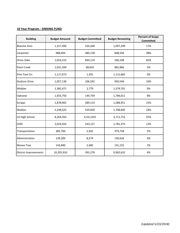### **10 Year Program - SINKING FUND**

| <b>Building</b>              | <b>Budget Amound</b> | <b>Budget Committed</b> | <b>Budget Remaining</b> | <b>Percent of Scope</b><br><b>Committed</b> |
|------------------------------|----------------------|-------------------------|-------------------------|---------------------------------------------|
| <b>Blanche Sims</b>          | 1,317,499            | 220,200                 | 1,097,299               | 17%                                         |
| Carpenter                    | 988,694              | 380,138                 | 608,556                 | 38%                                         |
| Orion Oaks                   | 1,024,222            | 844,114                 | 180,108                 | 82%                                         |
| <b>Paint Creek</b>           | 1,031,509            | 48,643                  | 982,866                 | 5%                                          |
| Pine Tree Ctr.               | 1,117,073            | 1,391                   | 1,115,682               | 0%                                          |
| <b>Stadium Drive</b>         | 1,057,136            | 106,592                 | 950,544                 | 10%                                         |
| Webber                       | 1,382,471            | 2,770                   | 1,379,701               | 0%                                          |
| Oakview                      | 1,933,750            | 149,739                 | 1,784,011               | 8%                                          |
| <b>Scripps</b>               | 1,878,065            | 289,114                 | 1,588,951               | 15%                                         |
| Waldon                       | 2,238,525            | 529,920                 | 1,708,605               | 24%                                         |
| LO High School               | 8,264,563            | 4,551,810               | 3,712,753               | 55%                                         |
| <b>CERC</b>                  | 2,024,502            | 243,127                 | 1,781,375               | 12%                                         |
| Transportation               | 385,700              | 5,942                   | 379,758                 | 2%                                          |
| Administration               | 139,200              | 8,574                   | 130,626                 | 6%                                          |
| <b>Moose Tree</b>            | 143,840              | 2,685                   | 141,155                 | 2%                                          |
| <b>District Improvements</b> | 10,355,910           | 393,278                 | 9,962,632               | 4%                                          |